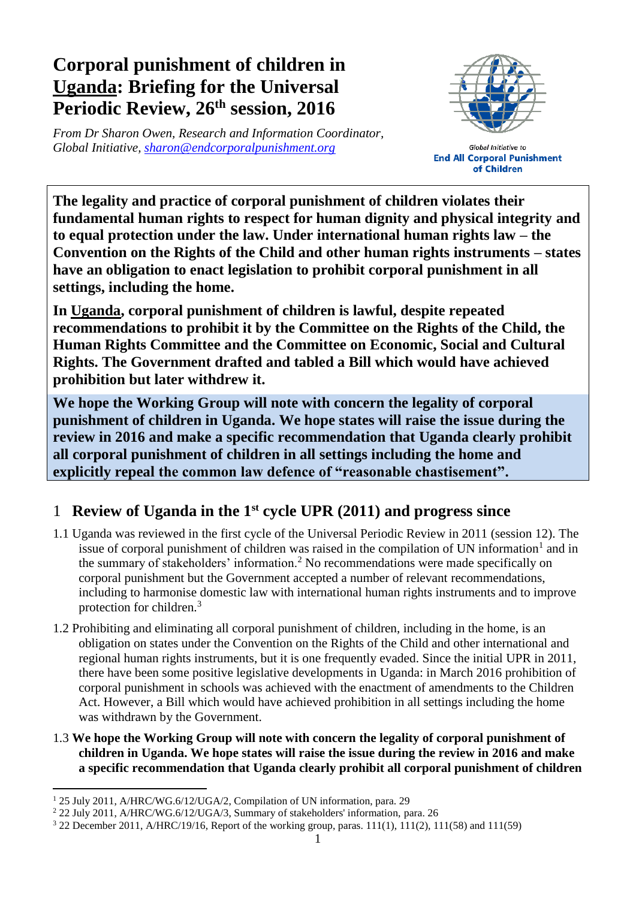# **Corporal punishment of children in Uganda: Briefing for the Universal Periodic Review, 26 th session, 2016**

*From Dr Sharon Owen, Research and Information Coordinator, Global Initiative, [sharon@endcorporalpunishment.org](mailto:sharon@endcorporalpunishment.org)*



**Global Initiative to End All Corporal Punishment** of Children

**The legality and practice of corporal punishment of children violates their fundamental human rights to respect for human dignity and physical integrity and to equal protection under the law. Under international human rights law – the Convention on the Rights of the Child and other human rights instruments – states have an obligation to enact legislation to prohibit corporal punishment in all settings, including the home.**

**In Uganda, corporal punishment of children is lawful, despite repeated recommendations to prohibit it by the Committee on the Rights of the Child, the Human Rights Committee and the Committee on Economic, Social and Cultural Rights. The Government drafted and tabled a Bill which would have achieved prohibition but later withdrew it.**

**We hope the Working Group will note with concern the legality of corporal punishment of children in Uganda. We hope states will raise the issue during the review in 2016 and make a specific recommendation that Uganda clearly prohibit all corporal punishment of children in all settings including the home and explicitly repeal the common law defence of "reasonable chastisement".**

## 1 **Review of Uganda in the 1st cycle UPR (2011) and progress since**

- 1.1 Uganda was reviewed in the first cycle of the Universal Periodic Review in 2011 (session 12). The issue of corporal punishment of children was raised in the compilation of UN information<sup>1</sup> and in the summary of stakeholders' information.<sup>2</sup> No recommendations were made specifically on corporal punishment but the Government accepted a number of relevant recommendations, including to harmonise domestic law with international human rights instruments and to improve protection for children.<sup>3</sup>
- 1.2 Prohibiting and eliminating all corporal punishment of children, including in the home, is an obligation on states under the Convention on the Rights of the Child and other international and regional human rights instruments, but it is one frequently evaded. Since the initial UPR in 2011, there have been some positive legislative developments in Uganda: in March 2016 prohibition of corporal punishment in schools was achieved with the enactment of amendments to the Children Act. However, a Bill which would have achieved prohibition in all settings including the home was withdrawn by the Government.
- 1.3 **We hope the Working Group will note with concern the legality of corporal punishment of children in Uganda. We hope states will raise the issue during the review in 2016 and make a specific recommendation that Uganda clearly prohibit all corporal punishment of children**

 $\overline{a}$ <sup>1</sup> 25 July 2011, A/HRC/WG.6/12/UGA/2, Compilation of UN information, para. 29

<sup>2</sup> 22 July 2011, A/HRC/WG.6/12/UGA/3, Summary of stakeholders' information, para. 26

<sup>3</sup> 22 December 2011, A/HRC/19/16, Report of the working group, paras. 111(1), 111(2), 111(58) and 111(59)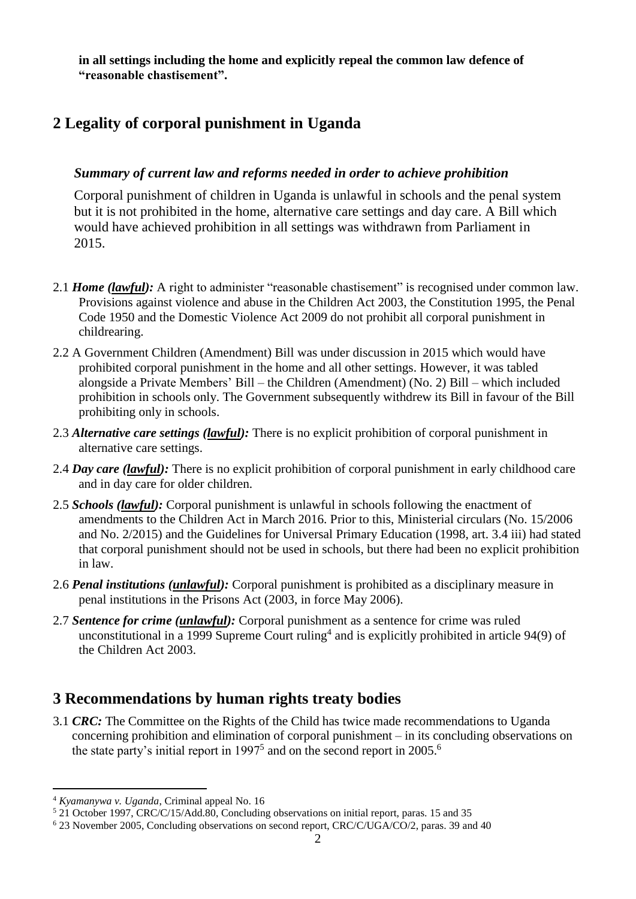**in all settings including the home and explicitly repeal the common law defence of "reasonable chastisement".**

### **2 Legality of corporal punishment in Uganda**

#### *Summary of current law and reforms needed in order to achieve prohibition*

Corporal punishment of children in Uganda is unlawful in schools and the penal system but it is not prohibited in the home, alternative care settings and day care. A Bill which would have achieved prohibition in all settings was withdrawn from Parliament in 2015.

- 2.1 *Home (lawful)*: A right to administer "reasonable chastisement" is recognised under common law. Provisions against violence and abuse in the Children Act 2003, the Constitution 1995, the Penal Code 1950 and the Domestic Violence Act 2009 do not prohibit all corporal punishment in childrearing.
- 2.2 A Government Children (Amendment) Bill was under discussion in 2015 which would have prohibited corporal punishment in the home and all other settings. However, it was tabled alongside a Private Members' Bill – the Children (Amendment) (No. 2) Bill – which included prohibition in schools only. The Government subsequently withdrew its Bill in favour of the Bill prohibiting only in schools.
- 2.3 *Alternative care settings (lawful):* There is no explicit prohibition of corporal punishment in alternative care settings.
- 2.4 *Day care (lawful):* There is no explicit prohibition of corporal punishment in early childhood care and in day care for older children.
- 2.5 *Schools (lawful):* Corporal punishment is unlawful in schools following the enactment of amendments to the Children Act in March 2016. Prior to this, Ministerial circulars (No. 15/2006 and No. 2/2015) and the Guidelines for Universal Primary Education (1998, art. 3.4 iii) had stated that corporal punishment should not be used in schools, but there had been no explicit prohibition in law.
- 2.6 *Penal institutions (unlawful):* Corporal punishment is prohibited as a disciplinary measure in penal institutions in the Prisons Act (2003, in force May 2006).
- 2.7 *Sentence for crime (unlawful):* Corporal punishment as a sentence for crime was ruled unconstitutional in a 1999 Supreme Court ruling<sup>4</sup> and is explicitly prohibited in article 94(9) of the Children Act 2003.

#### **3 Recommendations by human rights treaty bodies**

3.1 *CRC:* The Committee on the Rights of the Child has twice made recommendations to Uganda concerning prohibition and elimination of corporal punishment – in its concluding observations on the state party's initial report in  $1997<sup>5</sup>$  and on the second report in  $2005<sup>6</sup>$ 

 $\overline{a}$ 

<sup>4</sup> *Kyamanywa v. Uganda*, Criminal appeal No. 16

<sup>5</sup> 21 October 1997, CRC/C/15/Add.80, Concluding observations on initial report, paras. 15 and 35

<sup>6</sup> 23 November 2005, Concluding observations on second report, CRC/C/UGA/CO/2, paras. 39 and 40